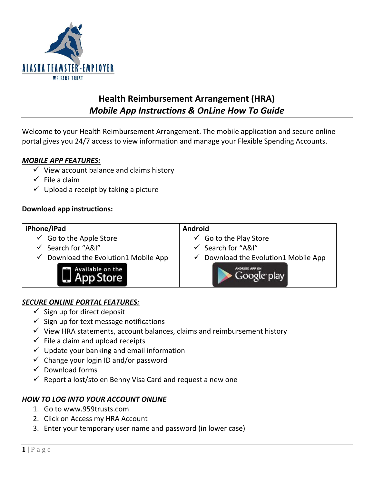

# **Health Reimbursement Arrangement (HRA)** *Mobile App Instructions & OnLine How To Guide*

Welcome to your Health Reimbursement Arrangement. The mobile application and secure online portal gives you 24/7 access to view information and manage your Flexible Spending Accounts.

### *MOBILE APP FEATURES:*

- $\checkmark$  View account balance and claims history
- $\checkmark$  File a claim
- $\checkmark$  Upload a receipt by taking a picture

### **Download app instructions:**

#### **iPhone/iPad Android**  $\checkmark$  Go to the Apple Store  $\checkmark$  Go to the Play Store  $\checkmark$  Search for "A&I"  $\checkmark$  Search for "A&I"  $\checkmark$  Do[wnload the Evolution1](http://itunes.apple.com/us/app/ibew-local-22/id533569487?mt=8) Mobile App  $\checkmark$  D[ownload the Evolution1](https://play.google.com/store/apps/details?id=com.mobile92west.ibew22&feature=search_result#?t=W251bGwsMSwxLDEsImNvbS5tb2JpbGU5Mndlc3QuaWJldzIyIl0) Mobile App Available on the Google play **App Store**

# *SECURE ONLINE PORTAL FEATURES:*

- $\checkmark$  Sign up for direct deposit
- $\checkmark$  Sign up for text message notifications
- $\checkmark$  View HRA statements, account balances, claims and reimbursement history
- $\checkmark$  File a claim and upload receipts
- $\checkmark$  Update your banking and email information
- $\checkmark$  Change your login ID and/or password
- $\checkmark$  Download forms
- $\checkmark$  Report a lost/stolen Benny Visa Card and request a new one

#### *HOW TO LOG INTO YOUR ACCOUNT ONLINE*

- 1. Go to www.959trusts.com
- 2. Click on Access my HRA Account
- 3. Enter your temporary user name and password (in lower case)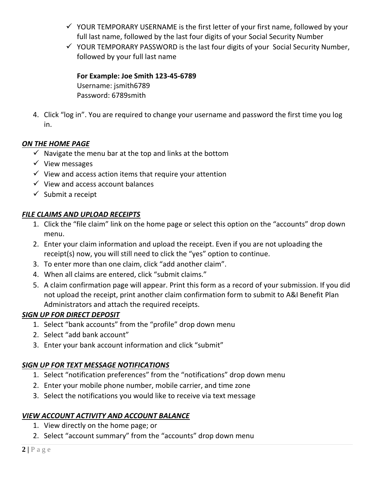- $\checkmark$  YOUR TEMPORARY USERNAME is the first letter of your first name, followed by your full last name, followed by the last four digits of your Social Security Number
- $\checkmark$  YOUR TEMPORARY PASSWORD is the last four digits of your Social Security Number, followed by your full last name

**For Example: Joe Smith 123-45-6789**  Username: jsmith6789 Password: 6789smith

4. Click "log in". You are required to change your username and password the first time you log in.

# *ON THE HOME PAGE*

- $\checkmark$  Navigate the menu bar at the top and links at the bottom
- $\checkmark$  View messages
- $\checkmark$  View and access action items that require your attention
- $\checkmark$  View and access account balances
- $\checkmark$  Submit a receipt

# *FILE CLAIMS AND UPLOAD RECEIPTS*

- 1. Click the "file claim" link on the home page or select this option on the "accounts" drop down menu.
- 2. Enter your claim information and upload the receipt. Even if you are not uploading the receipt(s) now, you will still need to click the "yes" option to continue.
- 3. To enter more than one claim, click "add another claim".
- 4. When all claims are entered, click "submit claims."
- 5. A claim confirmation page will appear. Print this form as a record of your submission. If you did not upload the receipt, print another claim confirmation form to submit to A&I Benefit Plan Administrators and attach the required receipts.

# *SIGN UP FOR DIRECT DEPOSIT*

- 1. Select "bank accounts" from the "profile" drop down menu
- 2. Select "add bank account"
- 3. Enter your bank account information and click "submit"

# *SIGN UP FOR TEXT MESSAGE NOTIFICATIONS*

- 1. Select "notification preferences" from the "notifications" drop down menu
- 2. Enter your mobile phone number, mobile carrier, and time zone
- 3. Select the notifications you would like to receive via text message

# *VIEW ACCOUNT ACTIVITY AND ACCOUNT BALANCE*

- 1. View directly on the home page; or
- 2. Select "account summary" from the "accounts" drop down menu